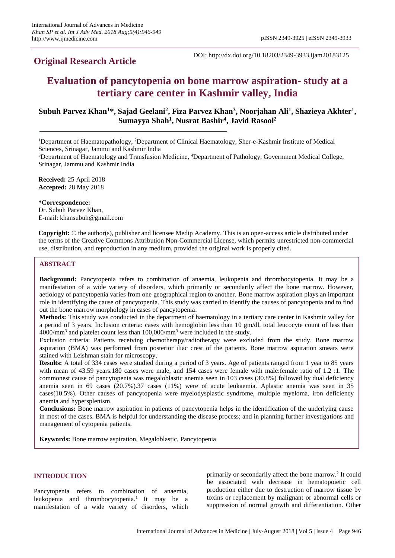# **Original Research Article**

DOI: http://dx.doi.org/10.18203/2349-3933.ijam20183125

# **Evaluation of pancytopenia on bone marrow aspiration- study at a tertiary care center in Kashmir valley, India**

# **Subuh Parvez Khan<sup>1</sup>\*, Sajad Geelani<sup>2</sup> , Fiza Parvez Khan<sup>3</sup> , Noorjahan Ali<sup>1</sup> , Shazieya Akhter<sup>1</sup> , Sumayya Shah<sup>1</sup> , Nusrat Bashir<sup>4</sup> , Javid Rasool<sup>2</sup>**

<sup>1</sup>Department of Haematopathology, <sup>2</sup>Department of Clinical Haematology, Sher-e-Kashmir Institute of Medical Sciences, Srinagar, Jammu and Kashmir India

<sup>3</sup>Department of Haematology and Transfusion Medicine, <sup>4</sup>Department of Pathology, Government Medical College, Srinagar, Jammu and Kashmir India

**Received:** 25 April 2018 **Accepted:** 28 May 2018

**\*Correspondence:** Dr. Subuh Parvez Khan, E-mail: khansubuh@gmail.com

**Copyright:** © the author(s), publisher and licensee Medip Academy. This is an open-access article distributed under the terms of the Creative Commons Attribution Non-Commercial License, which permits unrestricted non-commercial use, distribution, and reproduction in any medium, provided the original work is properly cited.

# **ABSTRACT**

**Background:** Pancytopenia refers to combination of anaemia, leukopenia and thrombocytopenia. It may be a manifestation of a wide variety of disorders, which primarily or secondarily affect the bone marrow. However, aetiology of pancytopenia varies from one geographical region to another. Bone marrow aspiration plays an important role in identifying the cause of pancytopenia. This study was carried to identify the causes of pancytopenia and to find out the bone marrow morphology in cases of pancytopenia.

**Methods:** This study was conducted in the department of haematology in a tertiary care center in Kashmir valley for a period of 3 years. Inclusion criteria: cases with hemoglobin less than 10 gm/dl, total leucocyte count of less than  $4000/\text{mm}^3$  and platelet count less than  $100,000/\text{mm}^3$  were included in the study.

Exclusion criteria: Patients receiving chemotherapy/radiotherapy were excluded from the study. Bone marrow aspiration (BMA) was performed from posterior iliac crest of the patients. Bone marrow aspiration smears were stained with Leishman stain for microscopy.

**Results:** A total of 334 cases were studied during a period of 3 years. Age of patients ranged from 1 year to 85 years with mean of 43.59 years.180 cases were male, and 154 cases were female with male:female ratio of 1.2 :1. The commonest cause of pancytopenia was megaloblastic anemia seen in 103 cases (30.8%) followed by dual deficiency anemia seen in 69 cases (20.7%).37 cases (11%) were of acute leukaemia. Aplastic anemia was seen in 35 cases(10.5%). Other causes of pancytopenia were myelodysplastic syndrome, multiple myeloma, iron deficiency anemia and hypersplenism.

**Conclusions:** Bone marrow aspiration in patients of pancytopenia helps in the identification of the underlying cause in most of the cases. BMA is helpful for understanding the disease process; and in planning further investigations and management of cytopenia patients.

**Keywords:** Bone marrow aspiration, Megaloblastic, Pancytopenia

# **INTRODUCTION**

Pancytopenia refers to combination of anaemia, leukopenia and thrombocytopenia. 1 It may be a manifestation of a wide variety of disorders, which

primarily or secondarily affect the bone marrow.<sup>2</sup> It could be associated with decrease in hematopoietic cell production either due to destruction of marrow tissue by toxins or replacement by malignant or abnormal cells or suppression of normal growth and differentiation. Other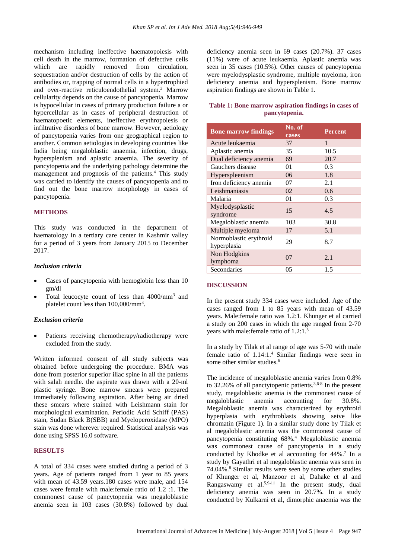mechanism including ineffective haematopoiesis with cell death in the marrow, formation of defective cells which are rapidly removed from circulation, sequestration and/or destruction of cells by the action of antibodies or, trapping of normal cells in a hypertrophied and over-reactive reticuloendothelial system.<sup>3</sup> Marrow cellularity depends on the cause of pancytopenia. Marrow is hypocellular in cases of primary production failure a or hypercellular as in cases of peripheral destruction of haematopoetic elements, ineffective erythropoiesis or infiltrative disorders of bone marrow. However, aetiology of pancytopenia varies from one geographical region to another. Common aetiologias in developing countries like India being megaloblastic anaemia, infection, drugs, hypersplenism and aplastic anaemia. The severity of pancytopenia and the underlying pathology determine the management and prognosis of the patients. <sup>4</sup> This study was carried to identify the causes of pancytopenia and to find out the bone marrow morphology in cases of pancytopenia.

#### **METHODS**

This study was conducted in the department of haematology in a tertiary care center in Kashmir valley for a period of 3 years from January 2015 to December 2017.

#### *Inclusion criteria*

- Cases of pancytopenia with hemoglobin less than 10 gm/dl
- Total leucocyte count of less than 4000/mm<sup>3</sup> and platelet count less than 100,000/mm<sup>3</sup>.

#### *Exclusion criteria*

Patients receiving chemotherapy/radiotherapy were excluded from the study.

Written informed consent of all study subjects was obtained before undergoing the procedure. BMA was done from posterior superior iliac spine in all the patients with salah needle. the aspirate was drawn with a 20-ml plastic syringe. Bone marrow smears were prepared immediately following aspiration. After being air dried these smears where stained with Leishmann stain for morphological examination. Periodic Acid Schiff (PAS) stain, Sudan Black B(SBB) and Myeloperoxidase (MPO) stain was done wherever required. Statistical analysis was done using SPSS 16.0 software.

#### **RESULTS**

A total of 334 cases were studied during a period of 3 years. Age of patients ranged from 1 year to 85 years with mean of 43.59 years.180 cases were male, and 154 cases were female with male:female ratio of 1.2 :1. The commonest cause of pancytopenia was megaloblastic anemia seen in 103 cases (30.8%) followed by dual deficiency anemia seen in 69 cases (20.7%). 37 cases (11%) were of acute leukaemia. Aplastic anemia was seen in 35 cases (10.5%). Other causes of pancytopenia were myelodysplastic syndrome, multiple myeloma, iron deficiency anemia and hypersplenism. Bone marrow aspiration findings are shown in Table 1.

# **Table 1: Bone marrow aspiration findings in cases of pancytopenia.**

| <b>Bone marrow findings</b>           | No. of<br>cases | <b>Percent</b> |
|---------------------------------------|-----------------|----------------|
| Acute leukaemia                       | 37              | 1              |
| Aplastic anemia                       | 35              | 10.5           |
| Dual deficiency anemia                | 69              | 20.7           |
| Gauchers disease                      | 01              | 0.3            |
| Hyperspleenism                        | 06              | 1.8            |
| Iron deficiency anemia                | 07              | 2.1            |
| Leishmaniasis                         | 02              | 0.6            |
| Malaria                               | 01              | 0.3            |
| Myelodysplastic<br>syndrome           | 15              | 4.5            |
| Megaloblastic anemia                  | 103             | 30.8           |
| Multiple myeloma                      | 17              | 5.1            |
| Normoblastic erythroid<br>hyperplasia | 29              | 8.7            |
| Non Hodgkins<br>lymphoma              | 07              | 2.1            |
| Secondaries                           | 05              | 1.5            |

### **DISCUSSION**

In the present study 334 cases were included. Age of the cases ranged from 1 to 85 years with mean of 43.59 years. Male:female ratio was 1.2:1. Khunger et al carried a study on 200 cases in which the age ranged from 2-70 years with male: female ratio of 1.2:1.<sup>5</sup>

In a study by Tilak et al range of age was 5-70 with male female ratio of 1.14:1.<sup>4</sup> Similar findings were seen in some other similar studies.<sup>6</sup>

The incidence of megaloblastic anemia varies from 0.8% to 32.26% of all panctytopenic patients.<sup>3,6-8</sup> In the present study, megaloblastic anemia is the commonest cause of megaloblastic anemia accounting for 30.8%. Megaloblastic anemia was characterized by erythroid hyperplasia with erythroblasts showing seive like chromatin (Figure 1). In a similar study done by Tilak et al megaloblastic anemia was the commonest cause of pancytopenia constituting 68%.<sup>4</sup> Megaloblastic anemia was commonest cause of pancytopenia in a study conducted by Khodke et al accounting for  $44\%$ .<sup>7</sup> In a study by Gayathri et al megaloblastic anemia was seen in 74.04%. <sup>8</sup> Similar results were seen by some other studies of Khunger et al, Manzoor et al, Dahake et al and Rangaswamy et al. $5.9-11$  In the present study, dual deficiency anemia was seen in 20.7%. In a study conducted by Kulkarni et al, dimorphic anaemia was the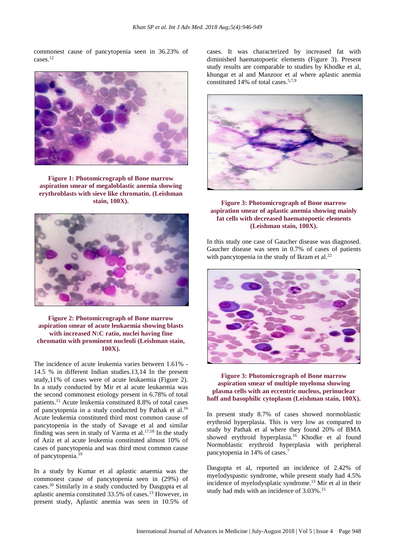commonest cause of pancytopenia seen in 36.23% of cases.<sup>12</sup>



**Figure 1: Photomicrograph of Bone marrow aspiration smear of megaloblastic anemia showing erythroblasts with sieve like chromatin. (Leishman stain, 100X).**



# **Figure 2: Photomicrograph of Bone marrow aspiration smear of acute leukaemia showing blasts with increased N:C ratio, nuclei having fine chromatin with prominent nucleoli (Leishman stain, 100X).**

The incidence of acute leukemia varies between 1.61% - 14.5 % in different Indian studies.13,14 In the present study,11% of cases were of acute leukaemia (Figure 2). In a study conducted by Mir et al acute leukaemia was the second commonest etiology present in 6.78% of total patients.<sup>15</sup> Acute leukemia constituted 8.8% of total cases of pancytopenia in a study conducted by Pathak et al.<sup>16</sup> Acute leukemia constituted third most common cause of pancytopenia in the study of Savage et al and similar finding was seen in study of Varma et al. $17,18$  In the study of Aziz et al acute leukemia constituted almost 10% of cases of pancytopenia and was third most common cause of pancytopenia.<sup>19</sup>

In a study by Kumar et al aplastic anaemia was the commonest cause of pancytopenia seen in (29%) of cases.<sup>20</sup> Similarly in a study conducted by Dasgupta et al aplastic anemia constituted 33.5% of cases.<sup>13</sup> However, in present study, Aplastic anemia was seen in 10.5% of cases. It was characterized by increased fat with diminished haematopoetic elements (Figure 3). Present study results are comparable to studies by Khodke et al, khungar et al and Manzoor et al where aplastic anemia constituted 14% of total cases.5,7,9



# **Figure 3: Photomicrograph of Bone marrow aspiration smear of aplastic anemia showing mainly fat cells with decreased haematopoetic elements (Leishman stain, 100X).**

In this study one case of Gaucher disease was diagnosed. Gaucher disease was seen in 0.7% of cases of patients with pancytopenia in the study of Ikram et al. $^{22}$ 



# **Figure 3: Photomicrograph of Bone marrow aspiration smear of multiple myeloma showing plasma cells with an eccentric nucleus, perinuclear hoff and basophilic cytoplasm (Leishman stain, 100X).**

In present study 8.7% of cases showed normoblastic erythroid hyperplasia. This is very low as compared to study by Pathak et al where they found 20% of BMA showed erythroid hyperplasia.<sup>16</sup> Khodke et al found Normoblastic erythroid hyperplasia with peripheral pancytopenia in 14% of cases. 7

Dasgupta et al, reported an incidence of 2.42% of myelodyspastic syndrome, while present study had 4.5% incidence of myelodysplatic syndrome.<sup>13</sup> Mir et al in their study had mds with an incidence of 3.03%. 15